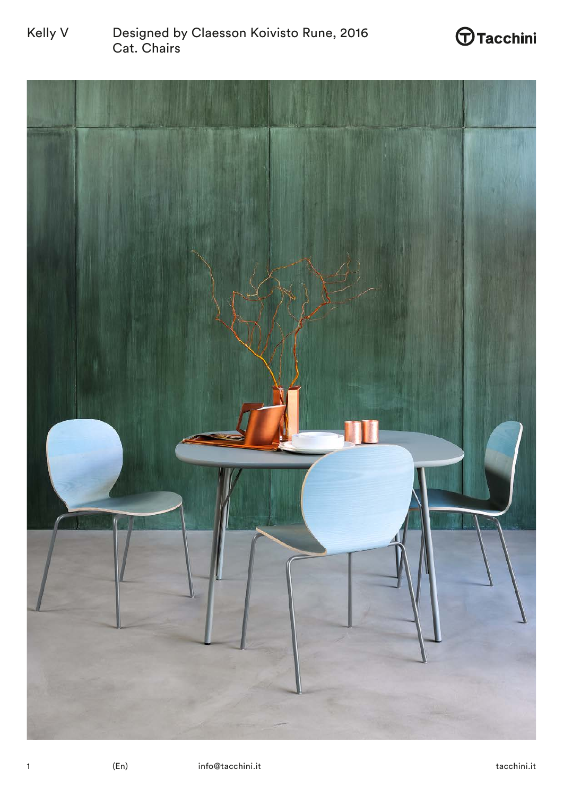

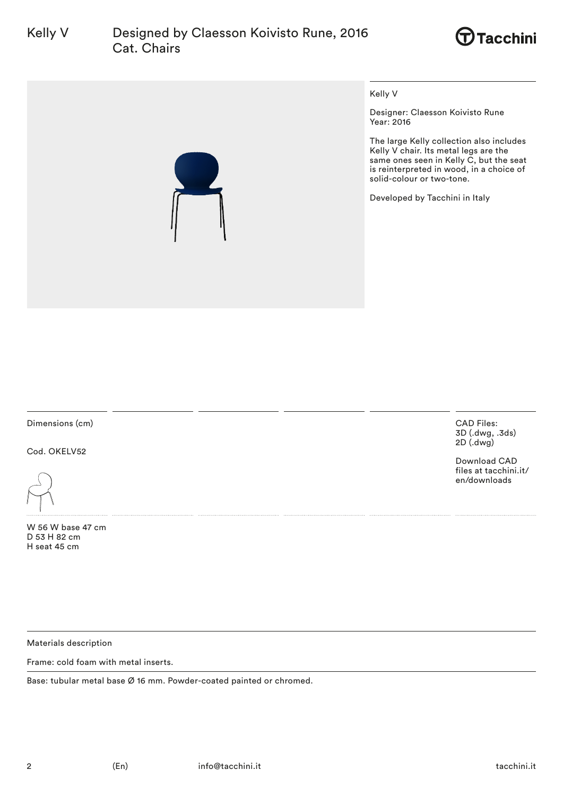# Kelly V Designed by Claesson Koivisto Rune, 2016 Cat. Chairs





Kelly V

Designer: Claesson Koivisto Rune Year: 2016

The large Kelly collection also includes Kelly V chair. Its metal legs are the same ones seen in Kelly C, but the seat is reinterpreted in wood, in a choice of solid-colour or two-tone.

Developed by Tacchini in Italy

Dimensions (cm)

Cod. OKELV52

W 56 W base 47 cm D 53 H 82 cm H seat 45 cm

CAD Files: 3D (.dwg, .3ds) 2D (.dwg)

Download CAD files at tacchini.it/ en/downloads

Materials description

Frame: cold foam with metal inserts.

Base: tubular metal base Ø 16 mm. Powder-coated painted or chromed.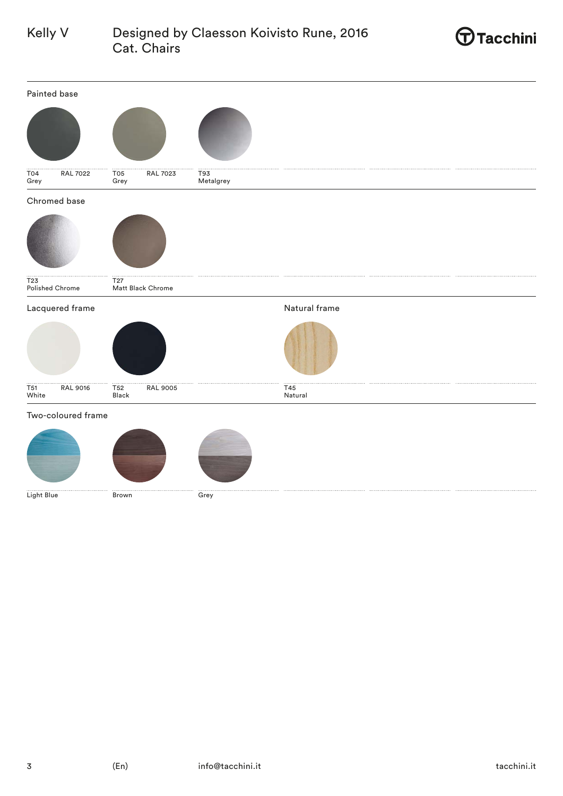## Kelly V Designed by Claesson Koivisto Rune, 2016 Cat. Chairs



| Painted base                                 |                                      |                  |                |
|----------------------------------------------|--------------------------------------|------------------|----------------|
|                                              |                                      |                  |                |
| $\frac{1}{104}$<br><b>RAL 7022</b><br>Grey   | T05<br><b>RAL 7023</b><br>Grey       | T93<br>Metalgrey |                |
| Chromed base                                 |                                      |                  |                |
|                                              |                                      |                  |                |
| T23<br>Polished Chrome                       | T <sub>27</sub><br>Matt Black Chrome |                  |                |
| Lacquered frame                              |                                      |                  | Natural frame  |
|                                              |                                      |                  |                |
| $\overline{751}$<br><b>RAL 9016</b><br>White | T52<br><b>RAL 9005</b><br>Black      |                  | T45<br>Natural |
| Two-coloured frame                           |                                      |                  |                |
|                                              |                                      |                  |                |
| Light Blue                                   | Brown                                | Grey             |                |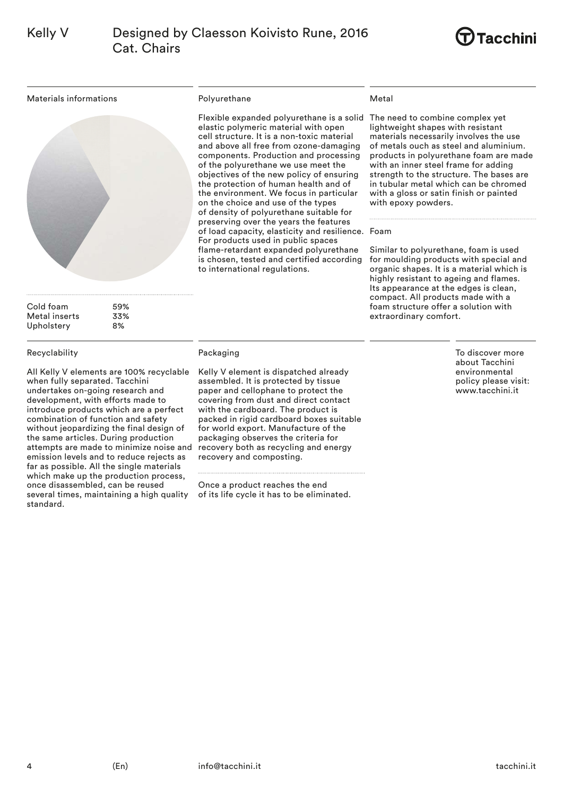

Materials informations



Cold foam 59%<br>Metal inserts 53% Metal inserts Upholstery 8%

### Recyclability

All Kelly V elements are 100% recyclable when fully separated. Tacchini undertakes on-going research and development, with efforts made to introduce products which are a perfect combination of function and safety without jeopardizing the final design of the same articles. During production attempts are made to minimize noise and emission levels and to reduce rejects as far as possible. All the single materials which make up the production process, once disassembled, can be reused several times, maintaining a high quality standard.

### Polyurethane

Flexible expanded polyurethane is a solid The need to combine complex yet elastic polymeric material with open cell structure. It is a non-toxic material and above all free from ozone-damaging components. Production and processing of the polyurethane we use meet the objectives of the new policy of ensuring the protection of human health and of the environment. We focus in particular on the choice and use of the types of density of polyurethane suitable for preserving over the years the features of load capacity, elasticity and resilience. Foam For products used in public spaces flame-retardant expanded polyurethane is chosen, tested and certified according to international regulations.

### Metal

lightweight shapes with resistant materials necessarily involves the use of metals ouch as steel and aluminium. products in polyurethane foam are made with an inner steel frame for adding strength to the structure. The bases are in tubular metal which can be chromed with a gloss or satin finish or painted with epoxy powders.

Similar to polyurethane, foam is used for moulding products with special and organic shapes. It is a material which is highly resistant to ageing and flames. Its appearance at the edges is clean, compact. All products made with a foam structure offer a solution with extraordinary comfort.

Packaging

Kelly V element is dispatched already assembled. It is protected by tissue paper and cellophane to protect the covering from dust and direct contact with the cardboard. The product is packed in rigid cardboard boxes suitable for world export. Manufacture of the packaging observes the criteria for recovery both as recycling and energy recovery and composting.

Once a product reaches the end of its life cycle it has to be eliminated. To discover more about Tacchini environmental policy please visit: www.tacchini.it